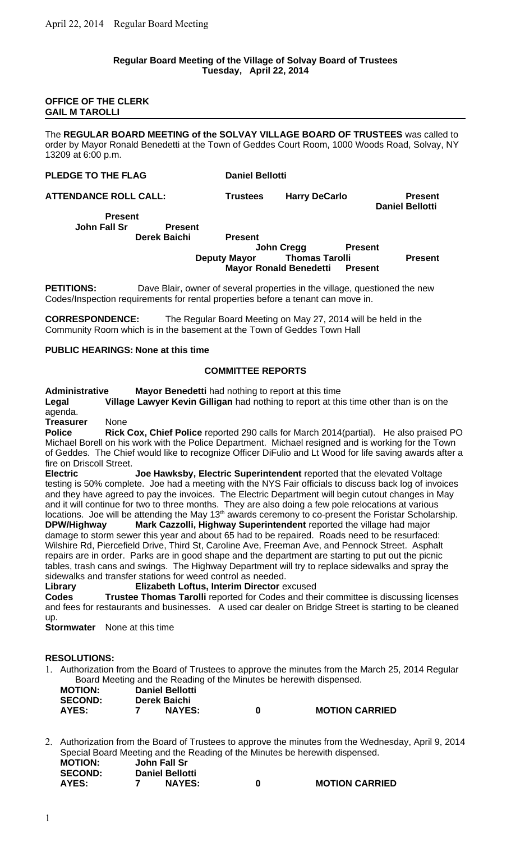#### **Regular Board Meeting of the Village of Solvay Board of Trustees Tuesday, April 22, 2014**

### **OFFICE OF THE CLERK GAIL M TAROLLI**

The **REGULAR BOARD MEETING of the SOLVAY VILLAGE BOARD OF TRUSTEES** was called to order by Mayor Ronald Benedetti at the Town of Geddes Court Room, 1000 Woods Road, Solvay, NY 13209 at 6:00 p.m.

**PLEDGE TO THE FLAG Daniel Bellotti** 

**ATTENDANCE ROLL CALL: Trustees Harry DeCarlo Present**

**Present John Fall Sr Present**

#### **Derek Baichi Present**

**John Creag Present Deputy Mayor Thomas Tarolli Present Mayor Ronald Benedetti Present** 

**Daniel Bellotti**

**PETITIONS:** Dave Blair, owner of several properties in the village, questioned the new Codes/Inspection requirements for rental properties before a tenant can move in.

**CORRESPONDENCE:** The Regular Board Meeting on May 27, 2014 will be held in the Community Room which is in the basement at the Town of Geddes Town Hall

## **PUBLIC HEARINGS: None at this time**

## **COMMITTEE REPORTS**

**Administrative Mayor Benedetti** had nothing to report at this time

**Legal Village Lawyer Kevin Gilligan** had nothing to report at this time other than is on the agenda.

**Treasurer** None

**Police Rick Cox, Chief Police** reported 290 calls for March 2014(partial). He also praised PO Michael Borell on his work with the Police Department. Michael resigned and is working for the Town of Geddes. The Chief would like to recognize Officer DiFulio and Lt Wood for life saving awards after a fire on Driscoll Street.

**Electric Joe Hawksby, Electric Superintendent** reported that the elevated Voltage testing is 50% complete. Joe had a meeting with the NYS Fair officials to discuss back log of invoices and they have agreed to pay the invoices. The Electric Department will begin cutout changes in May and it will continue for two to three months. They are also doing a few pole relocations at various locations. Joe will be attending the May 13<sup>th</sup> awards ceremony to co-present the Foristar Scholarship. **DPW/Highway Mark Cazzolli, Highway Superintendent** reported the village had major damage to storm sewer this year and about 65 had to be repaired. Roads need to be resurfaced: Wilshire Rd, Piercefield Drive, Third St, Caroline Ave, Freeman Ave, and Pennock Street. Asphalt repairs are in order. Parks are in good shape and the department are starting to put out the picnic tables, trash cans and swings. The Highway Department will try to replace sidewalks and spray the sidewalks and transfer stations for weed control as needed.

**Library Elizabeth Loftus, Interim Director** excused

**Codes Trustee Thomas Tarolli** reported for Codes and their committee is discussing licenses and fees for restaurants and businesses. A used car dealer on Bridge Street is starting to be cleaned up.

**Stormwater** None at this time

# **RESOLUTIONS:**

1. Authorization from the Board of Trustees to approve the minutes from the March 25, 2014 Regular Board Meeting and the Reading of the Minutes be herewith dispensed.

| <b>MOTION:</b> | <b>Daniel Bellotti</b> |                       |
|----------------|------------------------|-----------------------|
| <b>SECOND:</b> | Derek Baichi           |                       |
| AYES:          | <b>NAYES:</b>          | <b>MOTION CARRIED</b> |

2. Authorization from the Board of Trustees to approve the minutes from the Wednesday, April 9, 2014 Special Board Meeting and the Reading of the Minutes be herewith dispensed.<br>MOTION: John Fall Sr **MOTION: John Fall Sr SECOND:**<br>AYES:

|  | <b>Daniel Bellotti</b> |                       |
|--|------------------------|-----------------------|
|  | <b>NAYES:</b>          | <b>MOTION CARRIED</b> |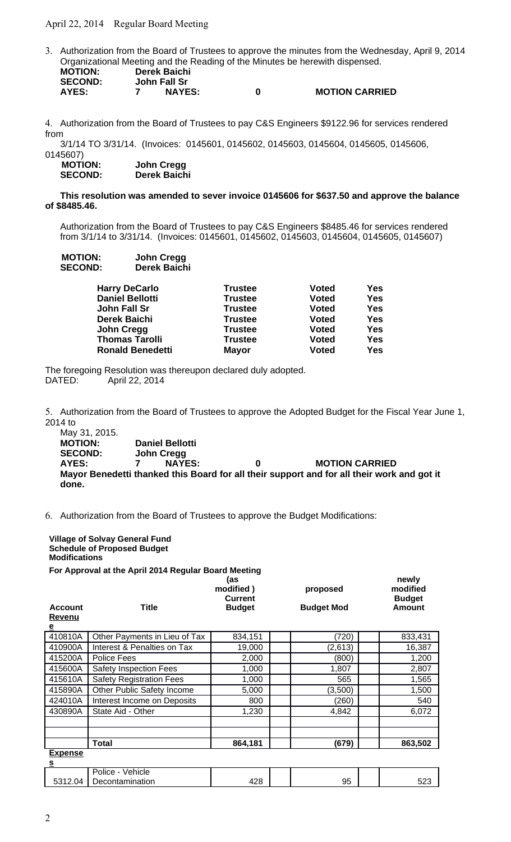April 22, 2014 Regular Board Meeting

3. Authorization from the Board of Trustees to approve the minutes from the Wednesday, April 9, 2014 Organizational Meeting and the Reading of the Minutes be herewith dispensed. **MOTION: Derek Baichi John Fall Sr** 

| -------      |  |               |  |                       |  |
|--------------|--|---------------|--|-----------------------|--|
| <b>AYES:</b> |  | <b>NAYES:</b> |  | <b>MOTION CARRIED</b> |  |

4. Authorization from the Board of Trustees to pay C&S Engineers \$9122.96 for services rendered from

3/1/14 TO 3/31/14. (Invoices: 0145601, 0145602, 0145603, 0145604, 0145605, 0145606, 0145607)

 **MOTION: John Cregg SECOND: Derek Baichi**

### **This resolution was amended to sever invoice 0145606 for \$637.50 and approve the balance of \$8485.46.**

Authorization from the Board of Trustees to pay C&S Engineers \$8485.46 for services rendered from 3/1/14 to 3/31/14. (Invoices: 0145601, 0145602, 0145603, 0145604, 0145605, 0145607)

| <b>MOTION:</b> | John Cregg   |
|----------------|--------------|
| <b>SECOND:</b> | Derek Baichi |

| <b>Harry DeCarlo</b>    | <b>Trustee</b> | <b>Voted</b> | Yes        |
|-------------------------|----------------|--------------|------------|
| <b>Daniel Bellotti</b>  | <b>Trustee</b> | <b>Voted</b> | Yes        |
| John Fall Sr            | <b>Trustee</b> | <b>Voted</b> | <b>Yes</b> |
| <b>Derek Baichi</b>     | <b>Trustee</b> | <b>Voted</b> | Yes        |
| John Cregg              | <b>Trustee</b> | <b>Voted</b> | <b>Yes</b> |
| <b>Thomas Tarolli</b>   | <b>Trustee</b> | <b>Voted</b> | Yes        |
| <b>Ronald Benedetti</b> | <b>Mayor</b>   | <b>Voted</b> | Yes        |

The foregoing Resolution was thereupon declared duly adopted. DATED: April 22, 2014

5. Authorization from the Board of Trustees to approve the Adopted Budget for the Fiscal Year June 1, 2014 to

May 31, 2015. **MOTION: Daniel Bellotti SECOND: John Cregg AYES: 7 NAYES: 0 MOTION CARRIED Mayor Benedetti thanked this Board for all their support and for all their work and got it done.**

6. Authorization from the Board of Trustees to approve the Budget Modifications:

**Village of Solvay General Fund Schedule of Proposed Budget Modifications**

**For Approval at the April 2014 Regular Board Meeting**

| <b>Account</b>             | <b>Title</b>                    | (as<br>modified)<br>Current<br><b>Budget</b> | proposed<br><b>Budget Mod</b> | newly<br>modified<br><b>Budget</b><br><b>Amount</b> |
|----------------------------|---------------------------------|----------------------------------------------|-------------------------------|-----------------------------------------------------|
| Revenu                     |                                 |                                              |                               |                                                     |
| $\overline{\mathbf{e}}$    |                                 |                                              |                               |                                                     |
| 410810A                    | Other Payments in Lieu of Tax   | 834,151                                      | (720)                         | 833,431                                             |
| 410900A                    | Interest & Penalties on Tax     | 19,000                                       | (2,613)                       | 16,387                                              |
| 415200A                    | Police Fees                     | 2,000                                        | (800)                         | 1,200                                               |
| 415600A                    | <b>Safety Inspection Fees</b>   | 1,000                                        | 1,807                         | 2,807                                               |
| 415610A                    | <b>Safety Registration Fees</b> | 1,000                                        | 565                           | 1,565                                               |
| 415890A                    | Other Public Safety Income      | 5,000                                        | (3,500)                       | 1,500                                               |
| 424010A                    | Interest Income on Deposits     | 800                                          | (260)                         | 540                                                 |
| 430890A                    | State Aid - Other               | 1,230                                        | 4,842                         | 6,072                                               |
|                            |                                 |                                              |                               |                                                     |
|                            |                                 |                                              |                               |                                                     |
|                            | Total                           | 864,181                                      | (679)                         | 863,502                                             |
| <b>Expense</b><br><u>s</u> |                                 |                                              |                               |                                                     |
|                            | Police - Vehicle                |                                              |                               |                                                     |

Decontamination  $428$  |  $95$  |  $523$ 

5312.04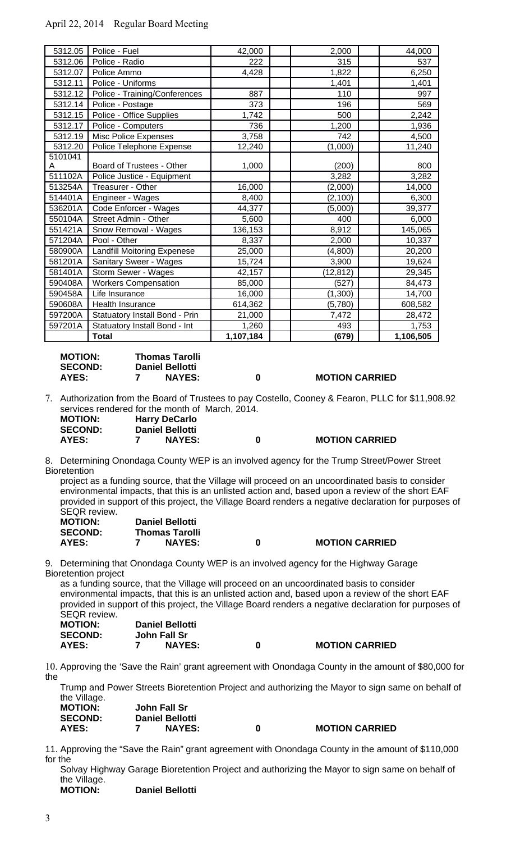## April 22, 2014 Regular Board Meeting

| 5312.05 | Police - Fuel                      | 42,000    | 2,000     | 44,000    |
|---------|------------------------------------|-----------|-----------|-----------|
| 5312.06 | Police - Radio                     | 222       | 315       | 537       |
| 5312.07 | Police Ammo                        | 4,428     | 1,822     | 6,250     |
| 5312.11 | Police - Uniforms                  |           | 1,401     | 1,401     |
| 5312.12 | Police - Training/Conferences      | 887       | 110       | 997       |
| 5312.14 | Police - Postage                   | 373       | 196       | 569       |
| 5312.15 | Police - Office Supplies           | 1,742     | 500       | 2,242     |
| 5312.17 | Police - Computers                 | 736       | 1,200     | 1,936     |
| 5312.19 | Misc Police Expenses               | 3,758     | 742       | 4,500     |
| 5312.20 | Police Telephone Expense           | 12,240    | (1,000)   | 11,240    |
| 5101041 |                                    |           |           |           |
| A       | Board of Trustees - Other          | 1,000     | (200)     | 800       |
| 511102A | Police Justice - Equipment         |           | 3,282     | 3,282     |
| 513254A | Treasurer - Other                  | 16,000    | (2,000)   | 14,000    |
| 514401A | Engineer - Wages                   | 8,400     | (2,100)   | 6,300     |
| 536201A | Code Enforcer - Wages              | 44,377    | (5,000)   | 39,377    |
| 550104A | Street Admin - Other               | 5,600     | 400       | 6,000     |
| 551421A | Snow Removal - Wages               | 136,153   | 8,912     | 145,065   |
| 571204A | Pool - Other                       | 8,337     | 2,000     | 10,337    |
| 580900A | <b>Landfill Moitoring Expenese</b> | 25,000    | (4,800)   | 20,200    |
| 581201A | Sanitary Sweer - Wages             | 15,724    | 3,900     | 19,624    |
| 581401A | Storm Sewer - Wages                | 42,157    | (12, 812) | 29,345    |
| 590408A | <b>Workers Compensation</b>        | 85,000    | (527)     | 84,473    |
| 590458A | Life Insurance                     | 16,000    | (1,300)   | 14,700    |
| 590608A | Health Insurance                   | 614,362   | (5,780)   | 608,582   |
| 597200A | Statuatory Install Bond - Prin     | 21,000    | 7,472     | 28,472    |
| 597201A | Statuatory Install Bond - Int      | 1,260     | 493       | 1,753     |
|         | <b>Total</b>                       | 1,107,184 | (679)     | 1,106,505 |

**MOTION: Thomas Tarolli SECOND: Daniel Bellotti AYES: 7 NAYES: 0 MOTION CARRIED**

7. Authorization from the Board of Trustees to pay Costello, Cooney & Fearon, PLLC for \$11,908.92 services rendered for the month of March, 2014.

| <b>MOTION:</b> | <b>Harry DeCarlo</b>   |
|----------------|------------------------|
| <b>SECOND:</b> | <b>Daniel Bellotti</b> |
| AYES:          | <b>NAYES:</b>          |

**AYES: 7 NAYES: 0 MOTION CARRIED**

**AYES: 7 NAYES: 0 MOTION CARRIED**

8. Determining Onondaga County WEP is an involved agency for the Trump Street/Power Street Bioretention

project as a funding source, that the Village will proceed on an uncoordinated basis to consider environmental impacts, that this is an unlisted action and, based upon a review of the short EAF provided in support of this project, the Village Board renders a negative declaration for purposes of SEQR review.

| <b>MOTION:</b> | <b>Daniel Bellotti</b> |   |
|----------------|------------------------|---|
| <b>SECOND:</b> | <b>Thomas Tarolli</b>  |   |
| AYES:          | <b>NAYES:</b>          | 0 |

9. Determining that Onondaga County WEP is an involved agency for the Highway Garage Bioretention project

as a funding source, that the Village will proceed on an uncoordinated basis to consider environmental impacts, that this is an unlisted action and, based upon a review of the short EAF provided in support of this project, the Village Board renders a negative declaration for purposes of SEQR review.

| <b>MOTION:</b> | <b>Daniel Bellotti</b> |                       |
|----------------|------------------------|-----------------------|
| <b>SECOND:</b> | John Fall Sr           |                       |
| AYES:          | <b>NAYES:</b>          | <b>MOTION CARRIED</b> |

10. Approving the 'Save the Rain' grant agreement with Onondaga County in the amount of \$80,000 for the

Trump and Power Streets Bioretention Project and authorizing the Mayor to sign same on behalf of the Village.

| <b>MOTION:</b> | John Fall Sr           |   |                       |
|----------------|------------------------|---|-----------------------|
| <b>SECOND:</b> | <b>Daniel Bellotti</b> |   |                       |
| <b>AYES:</b>   | <b>NAYES:</b>          | 0 | <b>MOTION CARRIED</b> |

11. Approving the "Save the Rain" grant agreement with Onondaga County in the amount of \$110,000 for the

Solvay Highway Garage Bioretention Project and authorizing the Mayor to sign same on behalf of the Village.<br>**MOTION:** 

**Daniel Bellotti**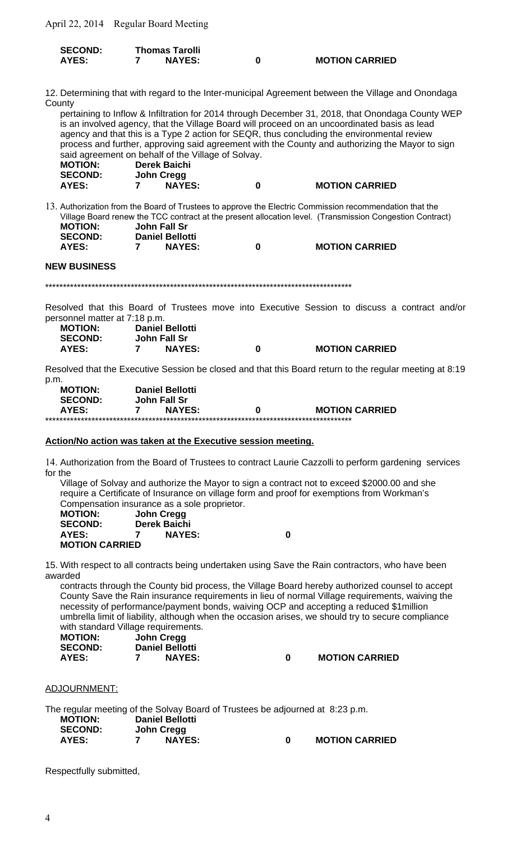April 22, 2014 Regular Board Meeting

| <b>SECOND:</b> | <b>Thomas Tarolli</b> |                       |
|----------------|-----------------------|-----------------------|
| AYES:          | <b>NAYES:</b>         | <b>MOTION CARRIED</b> |

12. Determining that with regard to the Inter-municipal Agreement between the Village and Onondaga County

pertaining to Inflow & Infiltration for 2014 through December 31, 2018, that Onondaga County WEP is an involved agency, that the Village Board will proceed on an uncoordinated basis as lead agency and that this is a Type 2 action for SEQR, thus concluding the environmental review process and further, approving said agreement with the County and authorizing the Mayor to sign said agreement on behalf of the Village of Solvay. **MOTION: Derek Baichi SECOND: John Cregg**  $\mathbf 0$ **MOTION CARRIED AYES:**  $\overline{7}$ **NAYES:** 

13. Authorization from the Board of Trustees to approve the Electric Commission recommendation that the Village Board renew the TCC contract at the present allocation level. (Transmission Congestion Contract) **MOTION:** John Fall Sr  $\mathbf{S}$ 

 $\mathbf 0$ 

| SECOND:      | Daniel Bellotti |
|--------------|-----------------|
| <b>AYES:</b> | <b>NAYES:</b>   |

**NEW BUSINESS** 

Resolved that this Board of Trustees move into Executive Session to discuss a contract and/or personnel matter at 7:18 p.m.

| <b>MOTION:</b> | <b>Daniel Bellotti</b> |   |                       |
|----------------|------------------------|---|-----------------------|
| <b>SECOND:</b> | John Fall Sr           |   |                       |
| AYES:          | <b>NAYES:</b>          | 0 | <b>MOTION CARRIED</b> |

Resolved that the Executive Session be closed and that this Board return to the regular meeting at 8:19  $p.m.$ 

| <b>MOTION:</b> | <b>Daniel Bellotti</b> |   |                       |
|----------------|------------------------|---|-----------------------|
| <b>SECOND:</b> | John Fall Sr           |   |                       |
| AYES:          | <b>NAYES:</b>          | 0 | <b>MOTION CARRIED</b> |
|                | <sub></sub>            |   |                       |

## Action/No action was taken at the Executive session meeting.

14. Authorization from the Board of Trustees to contract Laurie Cazzolli to perform gardening services for the

Village of Solvay and authorize the Mayor to sign a contract not to exceed \$2000.00 and she require a Certificate of Insurance on village form and proof for exemptions from Workman's Compensation insurance as a sole proprietor.

| <b>MOTION:</b>        | John Cregg    |   |
|-----------------------|---------------|---|
| <b>SECOND:</b>        | Derek Baichi  |   |
| <b>AYES:</b>          | <b>NAYES:</b> | 0 |
| <b>MOTION CARRIED</b> |               |   |

15. With respect to all contracts being undertaken using Save the Rain contractors, who have been awarded

contracts through the County bid process, the Village Board hereby authorized counsel to accept County Save the Rain insurance requirements in lieu of normal Village requirements, waiving the necessity of performance/payment bonds, waiving OCP and accepting a reduced \$1million umbrella limit of liability, although when the occasion arises, we should try to secure compliance with standard Village requirements.

| <b>MOTION:</b> | John Cregg             |
|----------------|------------------------|
| <b>SECOND:</b> | <b>Daniel Bellotti</b> |
| <b>AYES:</b>   | <b>NAYES:</b><br>7     |

**MOTION CARRIED**  $\Omega$ 

**MOTION CARRIED** 

ADJOURNMENT:

The regular meeting of the Solvay Board of Trustees be adjourned at 8:23 p.m. **MOTION: Daniel Bellotti SECOND: John Cregg AYES: NAYES:**  $\Omega$ **MOTION CARRIED**  $\overline{\phantom{a}}$ 

Respectfully submitted,